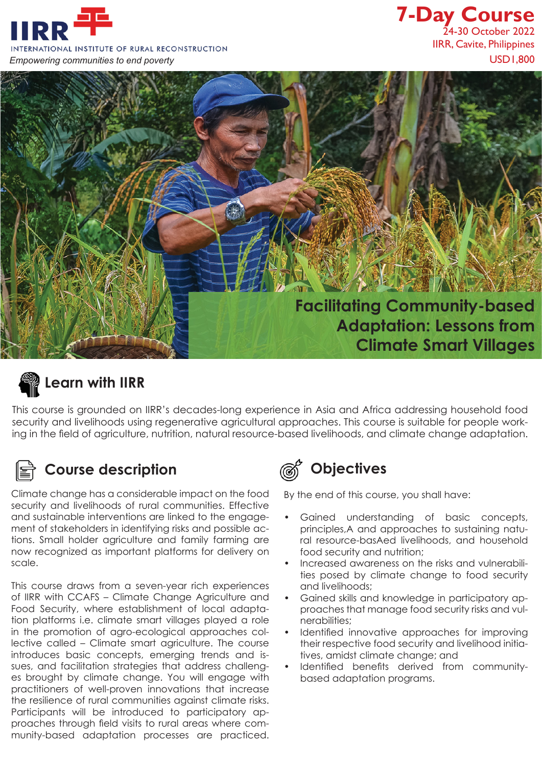

## **7-Day Course** 24-30 October 2022 IIRR, Cavite, Philippines



# **Learn with IIRR**

This course is grounded on IIRR's decades-long experience in Asia and Africa addressing household food security and livelihoods using regenerative agricultural approaches. This course is suitable for people working in the field of agriculture, nutrition, natural resource-based livelihoods, and climate change adaptation.



### **Course description Course description**

Climate change has a considerable impact on the food security and livelihoods of rural communities. Effective and sustainable interventions are linked to the engagement of stakeholders in identifying risks and possible actions. Small holder agriculture and family farming are now recognized as important platforms for delivery on scale.

This course draws from a seven-year rich experiences of IIRR with CCAFS – Climate Change Agriculture and Food Security, where establishment of local adaptation platforms i.e. climate smart villages played a role in the promotion of agro-ecological approaches collective called – Climate smart agriculture. The course introduces basic concepts, emerging trends and issues, and facilitation strategies that address challenges brought by climate change. You will engage with practitioners of well-proven innovations that increase the resilience of rural communities against climate risks. Participants will be introduced to participatory approaches through field visits to rural areas where community-based adaptation processes are practiced.



By the end of this course, you shall have:

- Gained understanding of basic concepts, principles,A and approaches to sustaining natural resource-basAed livelihoods, and household food security and nutrition;
- Increased awareness on the risks and vulnerabilities posed by climate change to food security and livelihoods;
- Gained skills and knowledge in participatory approaches that manage food security risks and vulnerabilities;
- Identified innovative approaches for improving their respective food security and livelihood initiatives, amidst climate change; and
- Identified benefits derived from communitybased adaptation programs.